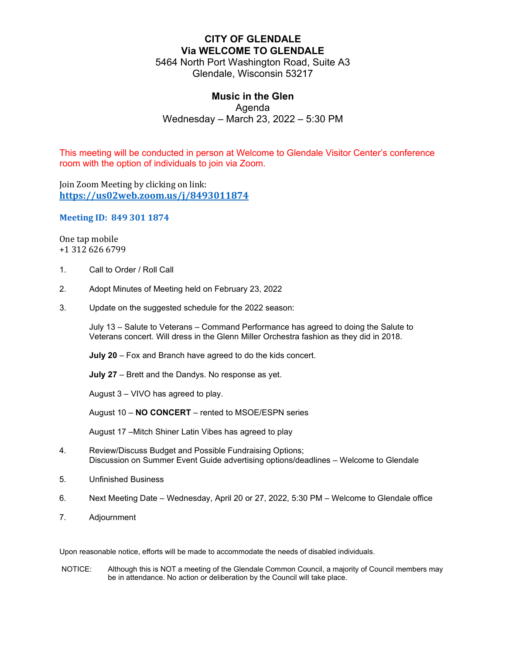# **CITY OF GLENDALE Via WELCOME TO GLENDALE**

5464 North Port Washington Road, Suite A3 Glendale, Wisconsin 53217

## **Music in the Glen**

Agenda

Wednesday – March 23, 2022 – 5:30 PM

This meeting will be conducted in person at Welcome to Glendale Visitor Center's conference room with the option of individuals to join via Zoom.

Join Zoom Meeting by clicking on link: **<https://us02web.zoom.us/j/8493011874>**

#### **Meeting ID: 849 301 1874**

One tap mobile +1 312 626 6799

- 1. Call to Order / Roll Call
- 2. Adopt Minutes of Meeting held on February 23, 2022
- 3. Update on the suggested schedule for the 2022 season:

July 13 – Salute to Veterans – Command Performance has agreed to doing the Salute to Veterans concert. Will dress in the Glenn Miller Orchestra fashion as they did in 2018.

**July 20** – Fox and Branch have agreed to do the kids concert.

**July 27** – Brett and the Dandys. No response as yet.

August 3 – VIVO has agreed to play.

August 10 – **NO CONCERT** – rented to MSOE/ESPN series

August 17 –Mitch Shiner Latin Vibes has agreed to play

- 4. Review/Discuss Budget and Possible Fundraising Options; Discussion on Summer Event Guide advertising options/deadlines – Welcome to Glendale
- 5. Unfinished Business
- 6. Next Meeting Date Wednesday, April 20 or 27, 2022, 5:30 PM Welcome to Glendale office
- 7. Adjournment

Upon reasonable notice, efforts will be made to accommodate the needs of disabled individuals.

NOTICE: Although this is NOT a meeting of the Glendale Common Council, a majority of Council members may be in attendance. No action or deliberation by the Council will take place.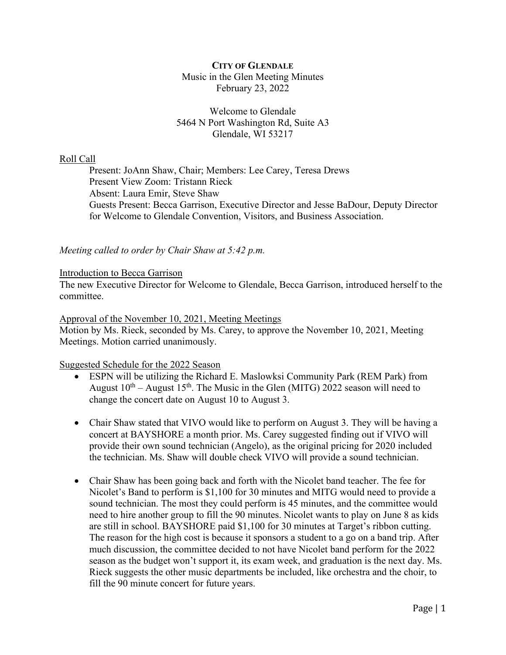## **CITY OF GLENDALE** Music in the Glen Meeting Minutes February 23, 2022

## Welcome to Glendale 5464 N Port Washington Rd, Suite A3 Glendale, WI 53217

## Roll Call

Present: JoAnn Shaw, Chair; Members: Lee Carey, Teresa Drews Present View Zoom: Tristann Rieck Absent: Laura Emir, Steve Shaw Guests Present: Becca Garrison, Executive Director and Jesse BaDour, Deputy Director for Welcome to Glendale Convention, Visitors, and Business Association.

*Meeting called to order by Chair Shaw at 5:42 p.m.*

### Introduction to Becca Garrison

The new Executive Director for Welcome to Glendale, Becca Garrison, introduced herself to the committee.

### Approval of the November 10, 2021, Meeting Meetings

Motion by Ms. Rieck, seconded by Ms. Carey, to approve the November 10, 2021, Meeting Meetings. Motion carried unanimously.

### Suggested Schedule for the 2022 Season

- ESPN will be utilizing the Richard E. Maslowksi Community Park (REM Park) from August  $10^{th}$  – August  $15^{th}$ . The Music in the Glen (MITG) 2022 season will need to change the concert date on August 10 to August 3.
- Chair Shaw stated that VIVO would like to perform on August 3. They will be having a concert at BAYSHORE a month prior. Ms. Carey suggested finding out if VIVO will provide their own sound technician (Angelo), as the original pricing for 2020 included the technician. Ms. Shaw will double check VIVO will provide a sound technician.
- Chair Shaw has been going back and forth with the Nicolet band teacher. The fee for Nicolet's Band to perform is \$1,100 for 30 minutes and MITG would need to provide a sound technician. The most they could perform is 45 minutes, and the committee would need to hire another group to fill the 90 minutes. Nicolet wants to play on June 8 as kids are still in school. BAYSHORE paid \$1,100 for 30 minutes at Target's ribbon cutting. The reason for the high cost is because it sponsors a student to a go on a band trip. After much discussion, the committee decided to not have Nicolet band perform for the 2022 season as the budget won't support it, its exam week, and graduation is the next day. Ms. Rieck suggests the other music departments be included, like orchestra and the choir, to fill the 90 minute concert for future years.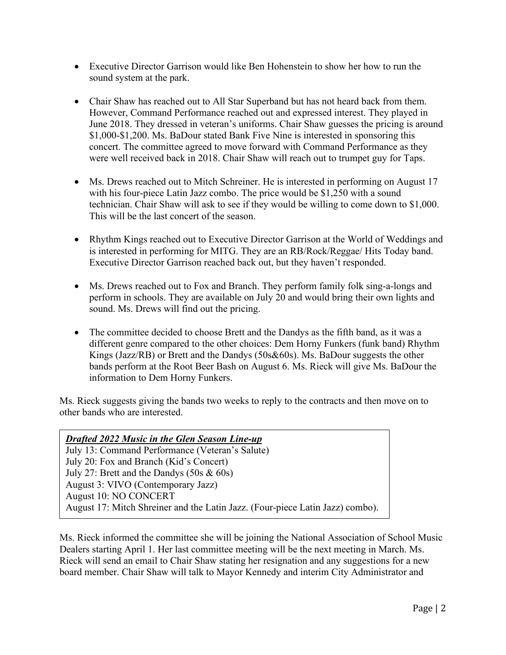- Executive Director Garrison would like Ben Hohenstein to show her how to run the sound system at the park.
- Chair Shaw has reached out to All Star Superband but has not heard back from them. However, Command Performance reached out and expressed interest. They played in June 2018. They dressed in veteran's uniforms. Chair Shaw guesses the pricing is around \$1,000-\$1,200. Ms. BaDour stated Bank Five Nine is interested in sponsoring this concert. The committee agreed to move forward with Command Performance as they were well received back in 2018. Chair Shaw will reach out to trumpet guy for Taps.
- Ms. Drews reached out to Mitch Schreiner. He is interested in performing on August 17 with his four-piece Latin Jazz combo. The price would be \$1,250 with a sound technician. Chair Shaw will ask to see if they would be willing to come down to \$1,000. This will be the last concert of the season.
- Rhythm Kings reached out to Executive Director Garrison at the World of Weddings and is interested in performing for MITG. They are an RB/Rock/Reggae/ Hits Today band. Executive Director Garrison reached back out, but they haven't responded.
- Ms. Drews reached out to Fox and Branch. They perform family folk sing-a-longs and perform in schools. They are available on July 20 and would bring their own lights and sound. Ms. Drews will find out the pricing.
- The committee decided to choose Brett and the Dandys as the fifth band, as it was a different genre compared to the other choices: Dem Horny Funkers (funk band) Rhythm Kings (Jazz/RB) or Brett and the Dandys (50s&60s). Ms. BaDour suggests the other bands perform at the Root Beer Bash on August 6. Ms. Rieck will give Ms. BaDour the information to Dem Horny Funkers.

Ms. Rieck suggests giving the bands two weeks to reply to the contracts and then move on to other bands who are interested.

| <b>Drafted 2022 Music in the Glen Season Line-up</b>                          |
|-------------------------------------------------------------------------------|
| July 13: Command Performance (Veteran's Salute)                               |
| July 20: Fox and Branch (Kid's Concert)                                       |
| July 27: Brett and the Dandys $(50s \& 60s)$                                  |
| August 3: VIVO (Contemporary Jazz)                                            |
| August 10: NO CONCERT                                                         |
| August 17: Mitch Shreiner and the Latin Jazz. (Four-piece Latin Jazz) combo). |

Ms. Rieck informed the committee she will be joining the National Association of School Music Dealers starting April 1. Her last committee meeting will be the next meeting in March. Ms. Rieck will send an email to Chair Shaw stating her resignation and any suggestions for a new board member. Chair Shaw will talk to Mayor Kennedy and interim City Administrator and